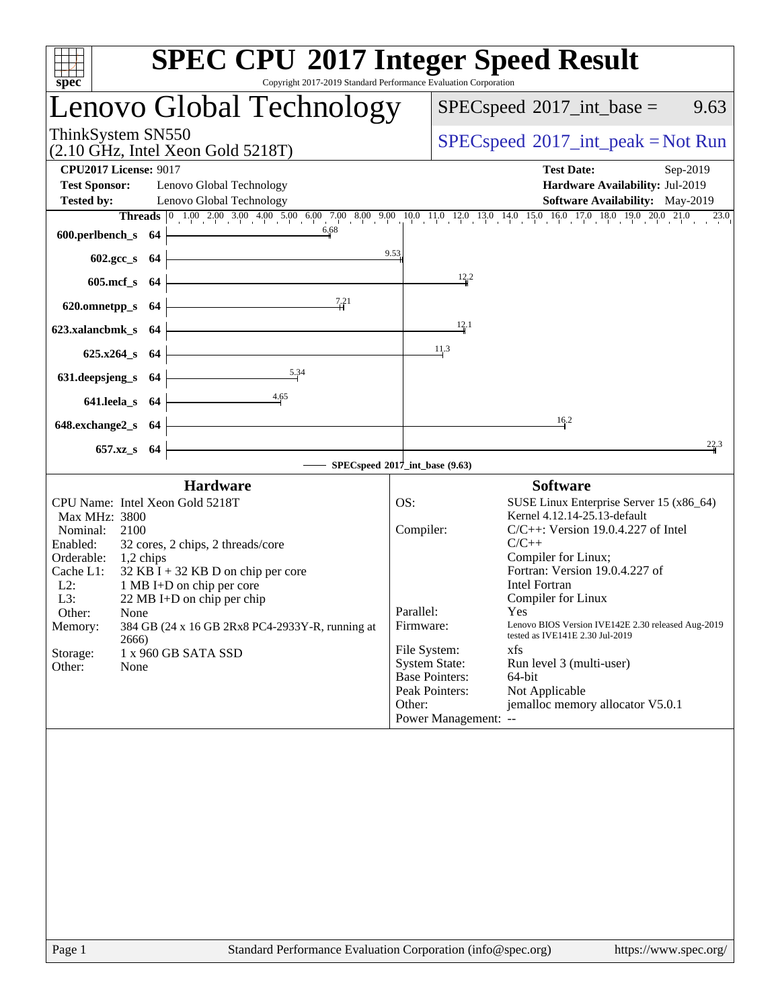|                                                                                  | <b>SPEC CPU®2017 Integer Speed Result</b>                                                                               |
|----------------------------------------------------------------------------------|-------------------------------------------------------------------------------------------------------------------------|
| $spec^*$                                                                         | Copyright 2017-2019 Standard Performance Evaluation Corporation                                                         |
| Lenovo Global Technology                                                         | $SPEC speed^{\circ}2017\_int\_base =$<br>9.63                                                                           |
| ThinkSystem SN550<br>$(2.10 \text{ GHz}, \text{Intel Xeon Gold } 5218 \text{T})$ | $SPEC speed^{\circ}2017\_int\_peak = Not Run$                                                                           |
| <b>CPU2017 License: 9017</b>                                                     | <b>Test Date:</b><br>Sep-2019                                                                                           |
| <b>Test Sponsor:</b><br>Lenovo Global Technology                                 | Hardware Availability: Jul-2019                                                                                         |
| <b>Tested by:</b><br>Lenovo Global Technology                                    | Software Availability: May-2019                                                                                         |
| 6.68<br>600.perlbench_s 64                                                       | Threads 0 1.00 2.00 3.00 4.00 5.00 6.00 7.00 8.00 9.00 10.0 11.0 12.0 13.0 14.0 15.0 16.0 17.0 18.0 19.0 20.0 21.0 23.0 |
|                                                                                  | 9.53                                                                                                                    |
| 602.gcc_s 64                                                                     |                                                                                                                         |
| 605.mcf $s$ 64                                                                   | $\frac{12}{4}$ <sup>2</sup>                                                                                             |
| 7.21<br>620.omnetpp_s $64$                                                       |                                                                                                                         |
| 623.xalancbmk_s 64                                                               | 12.1                                                                                                                    |
| $625.x264_s$ 64                                                                  | 11.3                                                                                                                    |
| 5.34                                                                             |                                                                                                                         |
| 631. deepsjeng s 64                                                              |                                                                                                                         |
| $-4.65$<br>$641.$ leela_s $64$                                                   |                                                                                                                         |
| <u> 1989 - Johann Barbara, martxa alemaniar a</u><br>$648$ .exchange2_s $64$     | 16.2                                                                                                                    |
| 657.xz_s 64                                                                      | 22.3                                                                                                                    |
|                                                                                  | $-$ SPECspeed®2017_int_base (9.63)                                                                                      |
| <b>Hardware</b>                                                                  | <b>Software</b>                                                                                                         |
| CPU Name: Intel Xeon Gold 5218T<br>Max MHz: 3800                                 | OS:<br>SUSE Linux Enterprise Server 15 (x86_64)<br>Kernel 4.12.14-25.13-default                                         |
| Nominal:<br>2100                                                                 | Compiler:<br>$C/C++$ : Version 19.0.4.227 of Intel                                                                      |
| Enabled:<br>32 cores, 2 chips, 2 threads/core<br>Orderable: 1,2 chips            | $C/C++$<br>Compiler for Linux;                                                                                          |
| Cache L1:<br>$32$ KB I + 32 KB D on chip per core                                | Fortran: Version 19.0.4.227 of                                                                                          |
| $L2$ :<br>1 MB I+D on chip per core                                              | <b>Intel Fortran</b>                                                                                                    |
| 22 MB I+D on chip per chip<br>L3:<br>Other:<br>None                              | Compiler for Linux<br>Parallel:<br><b>Yes</b>                                                                           |
| 384 GB (24 x 16 GB 2Rx8 PC4-2933Y-R, running at<br>Memory:                       | Lenovo BIOS Version IVE142E 2.30 released Aug-2019<br>Firmware:<br>tested as IVE141E 2.30 Jul-2019                      |
| 2666)<br>Storage:<br>1 x 960 GB SATA SSD                                         | File System:<br>xfs                                                                                                     |
| Other:<br>None                                                                   | <b>System State:</b><br>Run level 3 (multi-user)                                                                        |
|                                                                                  | <b>Base Pointers:</b><br>64-bit<br>Not Applicable<br>Peak Pointers:                                                     |
|                                                                                  | jemalloc memory allocator V5.0.1<br>Other:                                                                              |
|                                                                                  | Power Management: --                                                                                                    |
|                                                                                  |                                                                                                                         |
|                                                                                  |                                                                                                                         |
|                                                                                  |                                                                                                                         |
|                                                                                  |                                                                                                                         |
|                                                                                  |                                                                                                                         |
|                                                                                  |                                                                                                                         |
|                                                                                  |                                                                                                                         |
|                                                                                  |                                                                                                                         |
|                                                                                  |                                                                                                                         |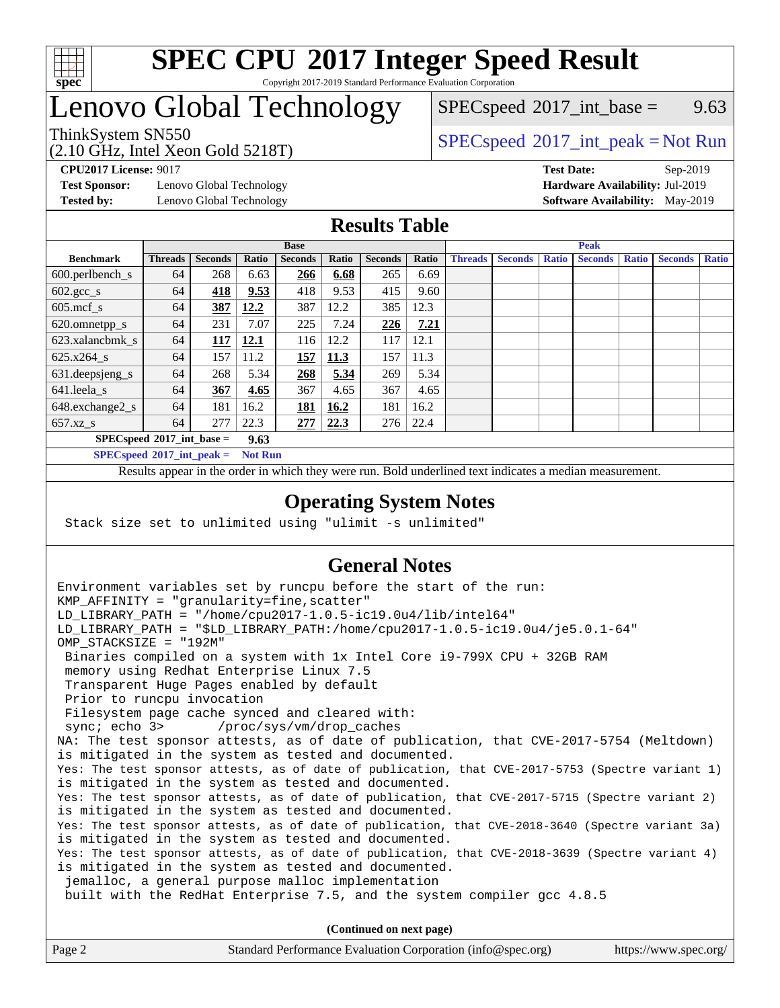

### **[SPEC CPU](http://www.spec.org/auto/cpu2017/Docs/result-fields.html#SPECCPU2017IntegerSpeedResult)[2017 Integer Speed Result](http://www.spec.org/auto/cpu2017/Docs/result-fields.html#SPECCPU2017IntegerSpeedResult)** Copyright 2017-2019 Standard Performance Evaluation Corporation

# Lenovo Global Technology

 $SPECspeed^{\circ}2017\_int\_base =$  $SPECspeed^{\circ}2017\_int\_base =$  9.63

(2.10 GHz, Intel Xeon Gold 5218T)

ThinkSystem SN550<br>  $SPEC speed^{\circ}2017\_int\_peak = Not Run$ 

**[Test Sponsor:](http://www.spec.org/auto/cpu2017/Docs/result-fields.html#TestSponsor)** Lenovo Global Technology **[Hardware Availability:](http://www.spec.org/auto/cpu2017/Docs/result-fields.html#HardwareAvailability)** Jul-2019 **[Tested by:](http://www.spec.org/auto/cpu2017/Docs/result-fields.html#Testedby)** Lenovo Global Technology **[Software Availability:](http://www.spec.org/auto/cpu2017/Docs/result-fields.html#SoftwareAvailability)** May-2019

**[CPU2017 License:](http://www.spec.org/auto/cpu2017/Docs/result-fields.html#CPU2017License)** 9017 **[Test Date:](http://www.spec.org/auto/cpu2017/Docs/result-fields.html#TestDate)** Sep-2019

## **[Results Table](http://www.spec.org/auto/cpu2017/Docs/result-fields.html#ResultsTable)**

|                                      | <b>Base</b>    |                |       |                | <b>Peak</b> |                |       |                |                |              |                |              |                |              |
|--------------------------------------|----------------|----------------|-------|----------------|-------------|----------------|-------|----------------|----------------|--------------|----------------|--------------|----------------|--------------|
| <b>Benchmark</b>                     | <b>Threads</b> | <b>Seconds</b> | Ratio | <b>Seconds</b> | Ratio       | <b>Seconds</b> | Ratio | <b>Threads</b> | <b>Seconds</b> | <b>Ratio</b> | <b>Seconds</b> | <b>Ratio</b> | <b>Seconds</b> | <b>Ratio</b> |
| $600.$ perlbench $\mathsf{S}$        | 64             | 268            | 6.63  | 266            | 6.68        | 265            | 6.69  |                |                |              |                |              |                |              |
| $602 \text{.} \text{gcc}\text{_<}$ s | 64             | 418            | 9.53  | 418            | 9.53        | 415            | 9.60  |                |                |              |                |              |                |              |
| $605$ .mcf s                         | 64             | 387            | 12.2  | 387            | 12.2        | 385            | 12.3  |                |                |              |                |              |                |              |
| 620.omnetpp_s                        | 64             | 231            | 7.07  | 225            | 7.24        | 226            | 7.21  |                |                |              |                |              |                |              |
| 623.xalancbmk s                      | 64             | 117            | 12.1  | 116            | 12.2        | 117            | 12.1  |                |                |              |                |              |                |              |
| $625.x264_s$                         | 64             | 157            | 11.2  | 157            | 11.3        | 157            | 11.3  |                |                |              |                |              |                |              |
| 631.deepsjeng_s                      | 64             | 268            | 5.34  | 268            | 5.34        | 269            | 5.34  |                |                |              |                |              |                |              |
| $641$ .leela_s                       | 64             | 367            | 4.65  | 367            | 4.65        | 367            | 4.65  |                |                |              |                |              |                |              |
| $648$ .exchange $2_s$                | 64             | 181            | 16.2  | 181            | 16.2        | 181            | 16.2  |                |                |              |                |              |                |              |
| $657.xz$ s                           | 64             | 277            | 22.3  | 277            | 22.3        | 276            | 22.4  |                |                |              |                |              |                |              |
| $SPECspeed^{\circ}2017$ int base =   |                |                | 9.63  |                |             |                |       |                |                |              |                |              |                |              |

**[SPECspeed](http://www.spec.org/auto/cpu2017/Docs/result-fields.html#SPECspeed2017intpeak)[2017\\_int\\_peak =](http://www.spec.org/auto/cpu2017/Docs/result-fields.html#SPECspeed2017intpeak) Not Run**

Results appear in the [order in which they were run.](http://www.spec.org/auto/cpu2017/Docs/result-fields.html#RunOrder) Bold underlined text [indicates a median measurement.](http://www.spec.org/auto/cpu2017/Docs/result-fields.html#Median)

### **[Operating System Notes](http://www.spec.org/auto/cpu2017/Docs/result-fields.html#OperatingSystemNotes)**

Stack size set to unlimited using "ulimit -s unlimited"

## **[General Notes](http://www.spec.org/auto/cpu2017/Docs/result-fields.html#GeneralNotes)**

Environment variables set by runcpu before the start of the run: KMP AFFINITY = "granularity=fine, scatter" LD\_LIBRARY\_PATH = "/home/cpu2017-1.0.5-ic19.0u4/lib/intel64" LD\_LIBRARY\_PATH = "\$LD\_LIBRARY\_PATH:/home/cpu2017-1.0.5-ic19.0u4/je5.0.1-64" OMP\_STACKSIZE = "192M" Binaries compiled on a system with 1x Intel Core i9-799X CPU + 32GB RAM memory using Redhat Enterprise Linux 7.5 Transparent Huge Pages enabled by default Prior to runcpu invocation Filesystem page cache synced and cleared with: sync; echo 3> /proc/sys/vm/drop\_caches NA: The test sponsor attests, as of date of publication, that CVE-2017-5754 (Meltdown) is mitigated in the system as tested and documented. Yes: The test sponsor attests, as of date of publication, that CVE-2017-5753 (Spectre variant 1) is mitigated in the system as tested and documented. Yes: The test sponsor attests, as of date of publication, that CVE-2017-5715 (Spectre variant 2) is mitigated in the system as tested and documented. Yes: The test sponsor attests, as of date of publication, that CVE-2018-3640 (Spectre variant 3a) is mitigated in the system as tested and documented. Yes: The test sponsor attests, as of date of publication, that CVE-2018-3639 (Spectre variant 4) is mitigated in the system as tested and documented. jemalloc, a general purpose malloc implementation built with the RedHat Enterprise 7.5, and the system compiler gcc 4.8.5 **(Continued on next page)**

| Page 2 | Standard Performance Evaluation Corporation (info@spec.org) | https://www.spec.org/ |
|--------|-------------------------------------------------------------|-----------------------|
|        |                                                             |                       |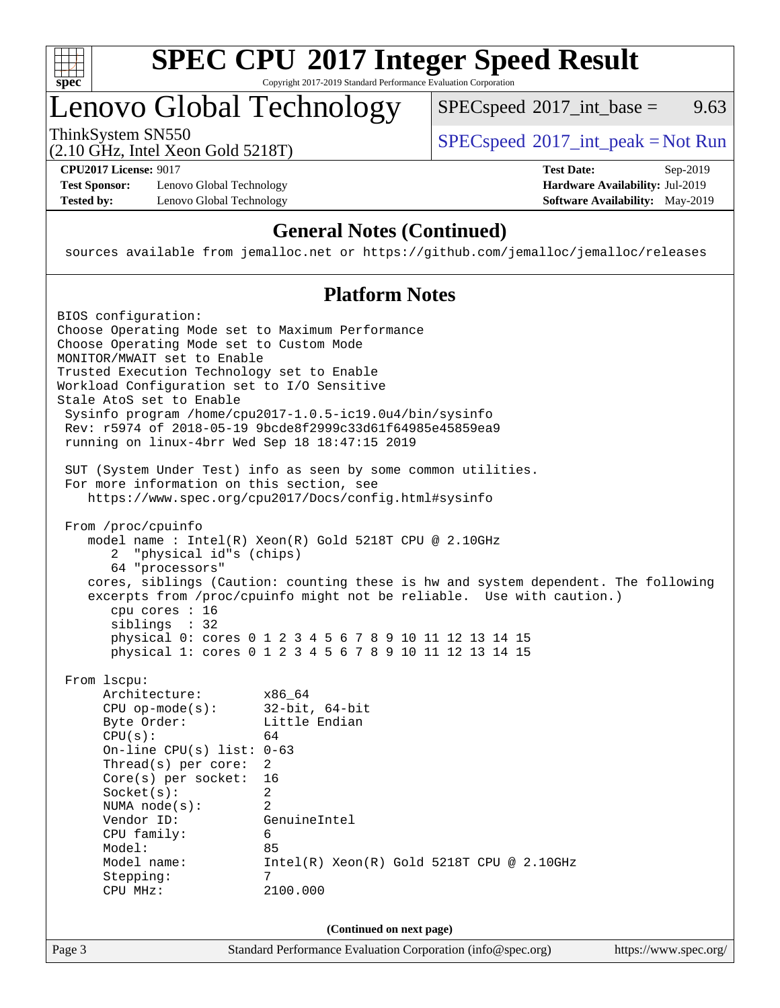

## **[SPEC CPU](http://www.spec.org/auto/cpu2017/Docs/result-fields.html#SPECCPU2017IntegerSpeedResult)[2017 Integer Speed Result](http://www.spec.org/auto/cpu2017/Docs/result-fields.html#SPECCPU2017IntegerSpeedResult)** Copyright 2017-2019 Standard Performance Evaluation Corporation

# Lenovo Global Technology

ThinkSystem SN550<br>  $SPEC speed^{\circ}2017\_int\_peak = Not Run$  $SPECspeed^{\circ}2017\_int\_base =$  $SPECspeed^{\circ}2017\_int\_base =$  9.63

(2.10 GHz, Intel Xeon Gold 5218T)

**[CPU2017 License:](http://www.spec.org/auto/cpu2017/Docs/result-fields.html#CPU2017License)** 9017 **[Test Date:](http://www.spec.org/auto/cpu2017/Docs/result-fields.html#TestDate)** Sep-2019

**[Test Sponsor:](http://www.spec.org/auto/cpu2017/Docs/result-fields.html#TestSponsor)** Lenovo Global Technology **[Hardware Availability:](http://www.spec.org/auto/cpu2017/Docs/result-fields.html#HardwareAvailability)** Jul-2019 **[Tested by:](http://www.spec.org/auto/cpu2017/Docs/result-fields.html#Testedby)** Lenovo Global Technology **[Software Availability:](http://www.spec.org/auto/cpu2017/Docs/result-fields.html#SoftwareAvailability)** May-2019

## **[General Notes \(Continued\)](http://www.spec.org/auto/cpu2017/Docs/result-fields.html#GeneralNotes)**

sources available from jemalloc.net or <https://github.com/jemalloc/jemalloc/releases>

## **[Platform Notes](http://www.spec.org/auto/cpu2017/Docs/result-fields.html#PlatformNotes)**

Page 3 Standard Performance Evaluation Corporation [\(info@spec.org\)](mailto:info@spec.org) <https://www.spec.org/> BIOS configuration: Choose Operating Mode set to Maximum Performance Choose Operating Mode set to Custom Mode MONITOR/MWAIT set to Enable Trusted Execution Technology set to Enable Workload Configuration set to I/O Sensitive Stale AtoS set to Enable Sysinfo program /home/cpu2017-1.0.5-ic19.0u4/bin/sysinfo Rev: r5974 of 2018-05-19 9bcde8f2999c33d61f64985e45859ea9 running on linux-4brr Wed Sep 18 18:47:15 2019 SUT (System Under Test) info as seen by some common utilities. For more information on this section, see <https://www.spec.org/cpu2017/Docs/config.html#sysinfo> From /proc/cpuinfo model name : Intel(R) Xeon(R) Gold 5218T CPU @ 2.10GHz 2 "physical id"s (chips) 64 "processors" cores, siblings (Caution: counting these is hw and system dependent. The following excerpts from /proc/cpuinfo might not be reliable. Use with caution.) cpu cores : 16 siblings : 32 physical 0: cores 0 1 2 3 4 5 6 7 8 9 10 11 12 13 14 15 physical 1: cores 0 1 2 3 4 5 6 7 8 9 10 11 12 13 14 15 From lscpu: Architecture: x86\_64 CPU op-mode(s): 32-bit, 64-bit Byte Order: Little Endian  $CPU(s):$  64 On-line CPU(s) list: 0-63 Thread(s) per core: 2 Core(s) per socket: 16 Socket(s): 2 NUMA node(s): 2 Vendor ID: GenuineIntel CPU family: 6 Model: 85 Model name: Intel(R) Xeon(R) Gold 5218T CPU @ 2.10GHz Stepping: 7 CPU MHz: 2100.000 **(Continued on next page)**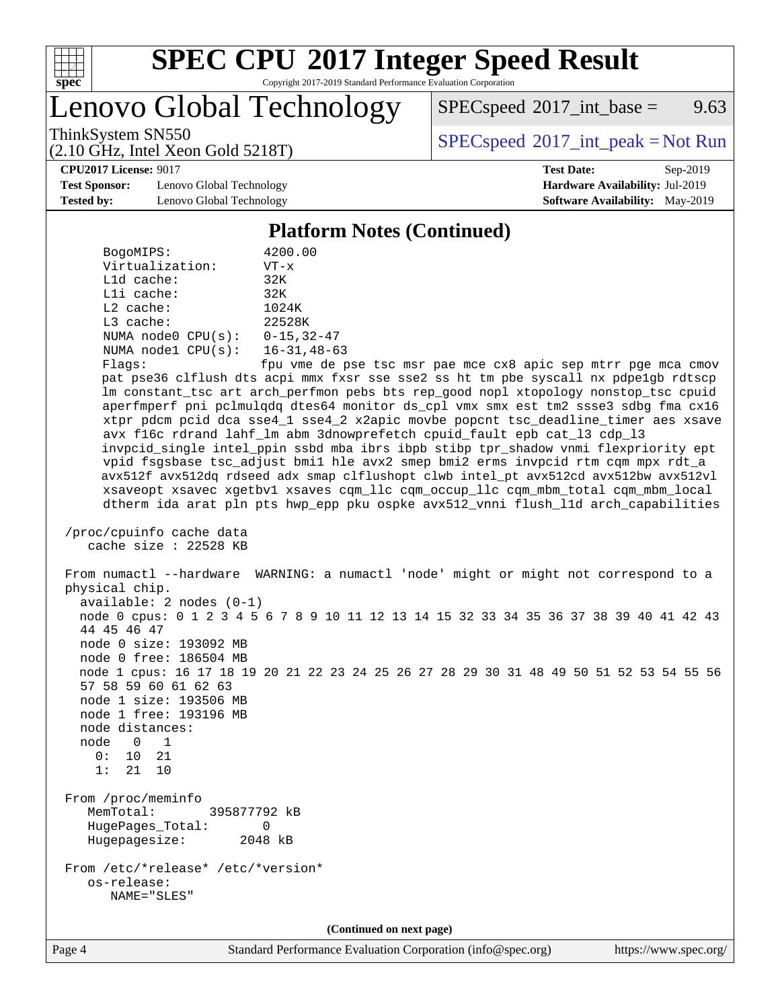

Copyright 2017-2019 Standard Performance Evaluation Corporation

Lenovo Global Technology

 $SPEC speed^{\circ}2017\_int\_base =$  9.63

ThinkSystem SN550<br>  $SPEC speed^{\circ}2017\_int\_peak = Not Run$ 

**[Test Sponsor:](http://www.spec.org/auto/cpu2017/Docs/result-fields.html#TestSponsor)** Lenovo Global Technology **[Hardware Availability:](http://www.spec.org/auto/cpu2017/Docs/result-fields.html#HardwareAvailability)** Jul-2019 **[Tested by:](http://www.spec.org/auto/cpu2017/Docs/result-fields.html#Testedby)** Lenovo Global Technology **[Software Availability:](http://www.spec.org/auto/cpu2017/Docs/result-fields.html#SoftwareAvailability)** May-2019

(2.10 GHz, Intel Xeon Gold 5218T)

**[CPU2017 License:](http://www.spec.org/auto/cpu2017/Docs/result-fields.html#CPU2017License)** 9017 **[Test Date:](http://www.spec.org/auto/cpu2017/Docs/result-fields.html#TestDate)** Sep-2019

#### **[Platform Notes \(Continued\)](http://www.spec.org/auto/cpu2017/Docs/result-fields.html#PlatformNotes)**

| BogoMIPS:               | 4200.00            |  |  |  |  |
|-------------------------|--------------------|--|--|--|--|
| Virtualization:         | $VT - x$           |  |  |  |  |
| $L1d$ cache:            | 32K                |  |  |  |  |
| Lli cache:              | 32K                |  |  |  |  |
| $L2$ cache:             | 1024K              |  |  |  |  |
| $L3$ cache:             | 22528K             |  |  |  |  |
| NUMA $node0$ $CPU(s)$ : | $0 - 15, 32 - 47$  |  |  |  |  |
| NUMA nodel CPU(s):      | $16 - 31, 48 - 63$ |  |  |  |  |
| $1.1 - 1.1$             | معاملهم مساوين     |  |  |  |  |

Flags: fpu vme de pse tsc msr pae mce cx8 apic sep mtrr pge mca cmov pat pse36 clflush dts acpi mmx fxsr sse sse2 ss ht tm pbe syscall nx pdpe1gb rdtscp lm constant\_tsc art arch\_perfmon pebs bts rep\_good nopl xtopology nonstop\_tsc cpuid aperfmperf pni pclmulqdq dtes64 monitor ds\_cpl vmx smx est tm2 ssse3 sdbg fma cx16 xtpr pdcm pcid dca sse4\_1 sse4\_2 x2apic movbe popcnt tsc\_deadline\_timer aes xsave avx f16c rdrand lahf\_lm abm 3dnowprefetch cpuid\_fault epb cat\_l3 cdp\_l3 invpcid\_single intel\_ppin ssbd mba ibrs ibpb stibp tpr\_shadow vnmi flexpriority ept vpid fsgsbase tsc\_adjust bmi1 hle avx2 smep bmi2 erms invpcid rtm cqm mpx rdt\_a avx512f avx512dq rdseed adx smap clflushopt clwb intel\_pt avx512cd avx512bw avx512vl xsaveopt xsavec xgetbv1 xsaves cqm\_llc cqm\_occup\_llc cqm\_mbm\_total cqm\_mbm\_local dtherm ida arat pln pts hwp\_epp pku ospke avx512\_vnni flush\_l1d arch\_capabilities

```
 /proc/cpuinfo cache data
cache size : 22528 KB
```
 From numactl --hardware WARNING: a numactl 'node' might or might not correspond to a physical chip. available: 2 nodes (0-1) node 0 cpus: 0 1 2 3 4 5 6 7 8 9 10 11 12 13 14 15 32 33 34 35 36 37 38 39 40 41 42 43 44 45 46 47 node 0 size: 193092 MB node 0 free: 186504 MB node 1 cpus: 16 17 18 19 20 21 22 23 24 25 26 27 28 29 30 31 48 49 50 51 52 53 54 55 56 57 58 59 60 61 62 63 node 1 size: 193506 MB node 1 free: 193196 MB node distances: node 0 1 0: 10 21 1: 21 10 From /proc/meminfo MemTotal: 395877792 kB HugePages\_Total: 0 Hugepagesize: 2048 kB From /etc/\*release\* /etc/\*version\* os-release: NAME="SLES"

**(Continued on next page)**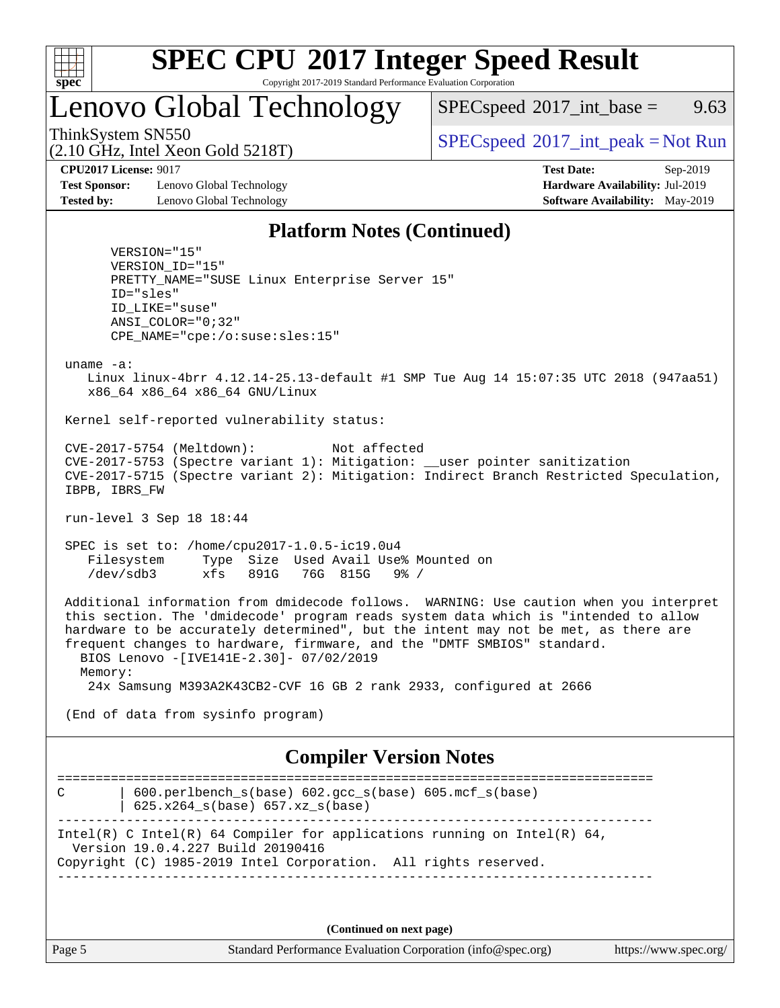

Copyright 2017-2019 Standard Performance Evaluation Corporation

Lenovo Global Technology

 $SPECspeed^{\circ}2017\_int\_base =$  $SPECspeed^{\circ}2017\_int\_base =$  9.63

(2.10 GHz, Intel Xeon Gold 5218T)

ThinkSystem SN550<br>  $SPEC speed^{\circ}2017\_int\_peak = Not Run$ 

**[Test Sponsor:](http://www.spec.org/auto/cpu2017/Docs/result-fields.html#TestSponsor)** Lenovo Global Technology **[Hardware Availability:](http://www.spec.org/auto/cpu2017/Docs/result-fields.html#HardwareAvailability)** Jul-2019 **[Tested by:](http://www.spec.org/auto/cpu2017/Docs/result-fields.html#Testedby)** Lenovo Global Technology **[Software Availability:](http://www.spec.org/auto/cpu2017/Docs/result-fields.html#SoftwareAvailability)** May-2019

**[CPU2017 License:](http://www.spec.org/auto/cpu2017/Docs/result-fields.html#CPU2017License)** 9017 **[Test Date:](http://www.spec.org/auto/cpu2017/Docs/result-fields.html#TestDate)** Sep-2019

## **[Platform Notes \(Continued\)](http://www.spec.org/auto/cpu2017/Docs/result-fields.html#PlatformNotes)**

 VERSION="15" VERSION\_ID="15" PRETTY\_NAME="SUSE Linux Enterprise Server 15" ID="sles" ID\_LIKE="suse" ANSI\_COLOR="0;32" CPE\_NAME="cpe:/o:suse:sles:15"

uname -a:

 Linux linux-4brr 4.12.14-25.13-default #1 SMP Tue Aug 14 15:07:35 UTC 2018 (947aa51) x86\_64 x86\_64 x86\_64 GNU/Linux

Kernel self-reported vulnerability status:

 CVE-2017-5754 (Meltdown): Not affected CVE-2017-5753 (Spectre variant 1): Mitigation: \_\_user pointer sanitization CVE-2017-5715 (Spectre variant 2): Mitigation: Indirect Branch Restricted Speculation, IBPB, IBRS\_FW

run-level 3 Sep 18 18:44

 SPEC is set to: /home/cpu2017-1.0.5-ic19.0u4 Filesystem Type Size Used Avail Use% Mounted on /dev/sdb3 xfs 891G 76G 815G 9% /

 Additional information from dmidecode follows. WARNING: Use caution when you interpret this section. The 'dmidecode' program reads system data which is "intended to allow hardware to be accurately determined", but the intent may not be met, as there are frequent changes to hardware, firmware, and the "DMTF SMBIOS" standard. BIOS Lenovo -[IVE141E-2.30]- 07/02/2019 Memory:

24x Samsung M393A2K43CB2-CVF 16 GB 2 rank 2933, configured at 2666

(End of data from sysinfo program)

## **[Compiler Version Notes](http://www.spec.org/auto/cpu2017/Docs/result-fields.html#CompilerVersionNotes)**

============================================================================== C | 600.perlbench\_s(base) 602.gcc\_s(base) 605.mcf\_s(base) | 625.x264\_s(base) 657.xz\_s(base) ------------------------------------------------------------------------------ Intel(R) C Intel(R) 64 Compiler for applications running on Intel(R)  $64$ , Version 19.0.4.227 Build 20190416 Copyright (C) 1985-2019 Intel Corporation. All rights reserved. ------------------------------------------------------------------------------

**(Continued on next page)**

Page 5 Standard Performance Evaluation Corporation [\(info@spec.org\)](mailto:info@spec.org) <https://www.spec.org/>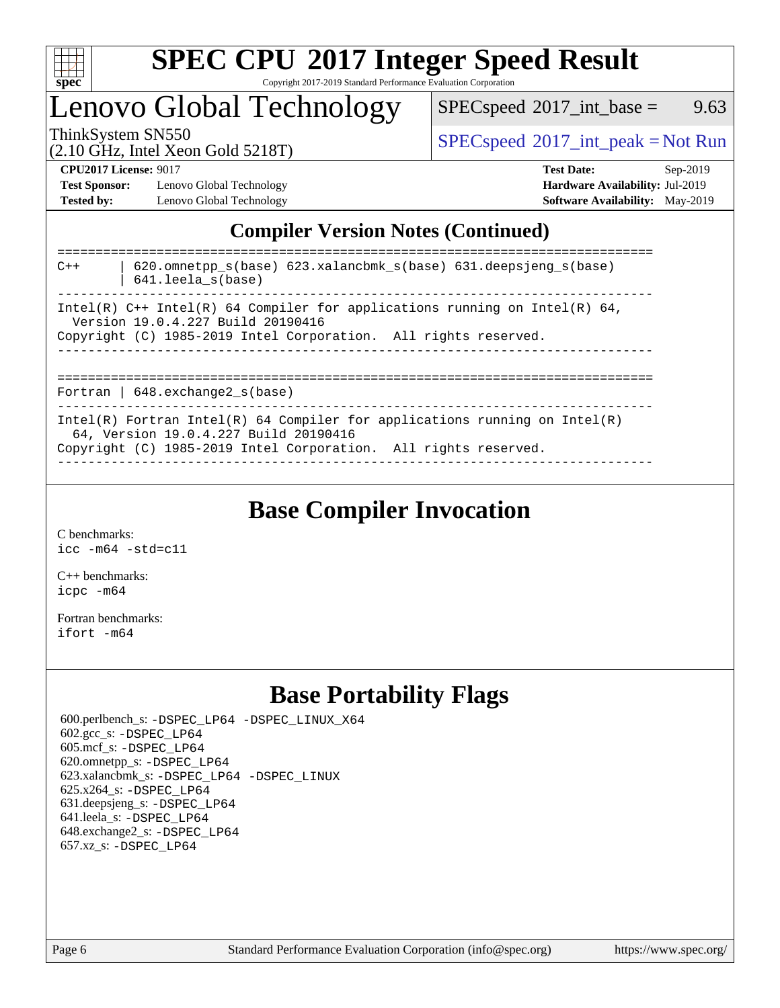

Copyright 2017-2019 Standard Performance Evaluation Corporation

## Lenovo Global Technology

 $SPECspeed^{\circ}2017\_int\_base =$  $SPECspeed^{\circ}2017\_int\_base =$  9.63

(2.10 GHz, Intel Xeon Gold 5218T)

ThinkSystem SN550<br>  $(2.10 \text{ GHz. Intel Yoon Gold 5218T})$  [SPECspeed](http://www.spec.org/auto/cpu2017/Docs/result-fields.html#SPECspeed2017intpeak)<sup>®</sup>[2017\\_int\\_peak = N](http://www.spec.org/auto/cpu2017/Docs/result-fields.html#SPECspeed2017intpeak)ot Run

**[Test Sponsor:](http://www.spec.org/auto/cpu2017/Docs/result-fields.html#TestSponsor)** Lenovo Global Technology **[Hardware Availability:](http://www.spec.org/auto/cpu2017/Docs/result-fields.html#HardwareAvailability)** Jul-2019 **[Tested by:](http://www.spec.org/auto/cpu2017/Docs/result-fields.html#Testedby)** Lenovo Global Technology **[Software Availability:](http://www.spec.org/auto/cpu2017/Docs/result-fields.html#SoftwareAvailability)** May-2019

**[CPU2017 License:](http://www.spec.org/auto/cpu2017/Docs/result-fields.html#CPU2017License)** 9017 **[Test Date:](http://www.spec.org/auto/cpu2017/Docs/result-fields.html#TestDate)** Sep-2019

## **[Compiler Version Notes \(Continued\)](http://www.spec.org/auto/cpu2017/Docs/result-fields.html#CompilerVersionNotes)**

| $620$ .omnetpp $s(base)$ $623$ .xalancbmk $s(base)$ $631$ .deepsjeng $s(base)$<br>$C++$<br>$641.$ leela_s(base)                                                                        |
|----------------------------------------------------------------------------------------------------------------------------------------------------------------------------------------|
| Intel(R) C++ Intel(R) 64 Compiler for applications running on Intel(R) 64,<br>Version 19.0.4.227 Build 20190416<br>Copyright (C) 1985-2019 Intel Corporation. All rights reserved.     |
| Fortran   $648$ . exchange2 $s$ (base)                                                                                                                                                 |
| Intel(R) Fortran Intel(R) 64 Compiler for applications running on Intel(R)<br>64, Version 19.0.4.227 Build 20190416<br>Copyright (C) 1985-2019 Intel Corporation. All rights reserved. |

## **[Base Compiler Invocation](http://www.spec.org/auto/cpu2017/Docs/result-fields.html#BaseCompilerInvocation)**

[C benchmarks](http://www.spec.org/auto/cpu2017/Docs/result-fields.html#Cbenchmarks): [icc -m64 -std=c11](http://www.spec.org/cpu2017/results/res2019q4/cpu2017-20190926-18555.flags.html#user_CCbase_intel_icc_64bit_c11_33ee0cdaae7deeeab2a9725423ba97205ce30f63b9926c2519791662299b76a0318f32ddfffdc46587804de3178b4f9328c46fa7c2b0cd779d7a61945c91cd35)

[C++ benchmarks:](http://www.spec.org/auto/cpu2017/Docs/result-fields.html#CXXbenchmarks) [icpc -m64](http://www.spec.org/cpu2017/results/res2019q4/cpu2017-20190926-18555.flags.html#user_CXXbase_intel_icpc_64bit_4ecb2543ae3f1412ef961e0650ca070fec7b7afdcd6ed48761b84423119d1bf6bdf5cad15b44d48e7256388bc77273b966e5eb805aefd121eb22e9299b2ec9d9)

[Fortran benchmarks](http://www.spec.org/auto/cpu2017/Docs/result-fields.html#Fortranbenchmarks): [ifort -m64](http://www.spec.org/cpu2017/results/res2019q4/cpu2017-20190926-18555.flags.html#user_FCbase_intel_ifort_64bit_24f2bb282fbaeffd6157abe4f878425411749daecae9a33200eee2bee2fe76f3b89351d69a8130dd5949958ce389cf37ff59a95e7a40d588e8d3a57e0c3fd751)

## **[Base Portability Flags](http://www.spec.org/auto/cpu2017/Docs/result-fields.html#BasePortabilityFlags)**

 600.perlbench\_s: [-DSPEC\\_LP64](http://www.spec.org/cpu2017/results/res2019q4/cpu2017-20190926-18555.flags.html#b600.perlbench_s_basePORTABILITY_DSPEC_LP64) [-DSPEC\\_LINUX\\_X64](http://www.spec.org/cpu2017/results/res2019q4/cpu2017-20190926-18555.flags.html#b600.perlbench_s_baseCPORTABILITY_DSPEC_LINUX_X64) 602.gcc\_s: [-DSPEC\\_LP64](http://www.spec.org/cpu2017/results/res2019q4/cpu2017-20190926-18555.flags.html#suite_basePORTABILITY602_gcc_s_DSPEC_LP64) 605.mcf\_s: [-DSPEC\\_LP64](http://www.spec.org/cpu2017/results/res2019q4/cpu2017-20190926-18555.flags.html#suite_basePORTABILITY605_mcf_s_DSPEC_LP64) 620.omnetpp\_s: [-DSPEC\\_LP64](http://www.spec.org/cpu2017/results/res2019q4/cpu2017-20190926-18555.flags.html#suite_basePORTABILITY620_omnetpp_s_DSPEC_LP64) 623.xalancbmk\_s: [-DSPEC\\_LP64](http://www.spec.org/cpu2017/results/res2019q4/cpu2017-20190926-18555.flags.html#suite_basePORTABILITY623_xalancbmk_s_DSPEC_LP64) [-DSPEC\\_LINUX](http://www.spec.org/cpu2017/results/res2019q4/cpu2017-20190926-18555.flags.html#b623.xalancbmk_s_baseCXXPORTABILITY_DSPEC_LINUX) 625.x264\_s: [-DSPEC\\_LP64](http://www.spec.org/cpu2017/results/res2019q4/cpu2017-20190926-18555.flags.html#suite_basePORTABILITY625_x264_s_DSPEC_LP64) 631.deepsjeng\_s: [-DSPEC\\_LP64](http://www.spec.org/cpu2017/results/res2019q4/cpu2017-20190926-18555.flags.html#suite_basePORTABILITY631_deepsjeng_s_DSPEC_LP64) 641.leela\_s: [-DSPEC\\_LP64](http://www.spec.org/cpu2017/results/res2019q4/cpu2017-20190926-18555.flags.html#suite_basePORTABILITY641_leela_s_DSPEC_LP64) 648.exchange2\_s: [-DSPEC\\_LP64](http://www.spec.org/cpu2017/results/res2019q4/cpu2017-20190926-18555.flags.html#suite_basePORTABILITY648_exchange2_s_DSPEC_LP64) 657.xz\_s: [-DSPEC\\_LP64](http://www.spec.org/cpu2017/results/res2019q4/cpu2017-20190926-18555.flags.html#suite_basePORTABILITY657_xz_s_DSPEC_LP64)